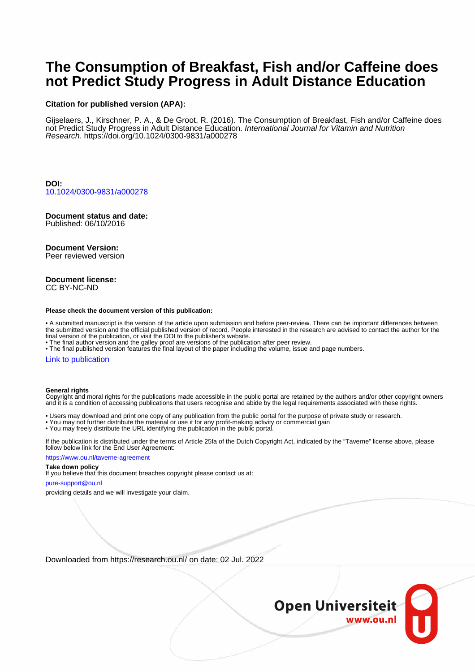# **The Consumption of Breakfast, Fish and/or Caffeine does not Predict Study Progress in Adult Distance Education**

# **Citation for published version (APA):**

Gijselaers, J., Kirschner, P. A., & De Groot, R. (2016). The Consumption of Breakfast, Fish and/or Caffeine does not Predict Study Progress in Adult Distance Education. International Journal for Vitamin and Nutrition Research.<https://doi.org/10.1024/0300-9831/a000278>

**DOI:** [10.1024/0300-9831/a000278](https://doi.org/10.1024/0300-9831/a000278)

# **Document status and date:**

Published: 06/10/2016

# **Document Version:**

Peer reviewed version

#### **Document license:** CC BY-NC-ND

#### **Please check the document version of this publication:**

• A submitted manuscript is the version of the article upon submission and before peer-review. There can be important differences between the submitted version and the official published version of record. People interested in the research are advised to contact the author for the final version of the publication, or visit the DOI to the publisher's website.

• The final author version and the galley proof are versions of the publication after peer review.

• The final published version features the final layout of the paper including the volume, issue and page numbers.

#### [Link to publication](https://research.ou.nl/en/publications/d5ccd046-7c09-402f-936f-52b8c2c4080a)

#### **General rights**

Copyright and moral rights for the publications made accessible in the public portal are retained by the authors and/or other copyright owners and it is a condition of accessing publications that users recognise and abide by the legal requirements associated with these rights.

- Users may download and print one copy of any publication from the public portal for the purpose of private study or research.
- You may not further distribute the material or use it for any profit-making activity or commercial gain
- You may freely distribute the URL identifying the publication in the public portal.

If the publication is distributed under the terms of Article 25fa of the Dutch Copyright Act, indicated by the "Taverne" license above, please follow below link for the End User Agreement:

#### https://www.ou.nl/taverne-agreement

# **Take down policy**

If you believe that this document breaches copyright please contact us at:

#### pure-support@ou.nl

providing details and we will investigate your claim.

Downloaded from https://research.ou.nl/ on date: 02 Jul. 2022

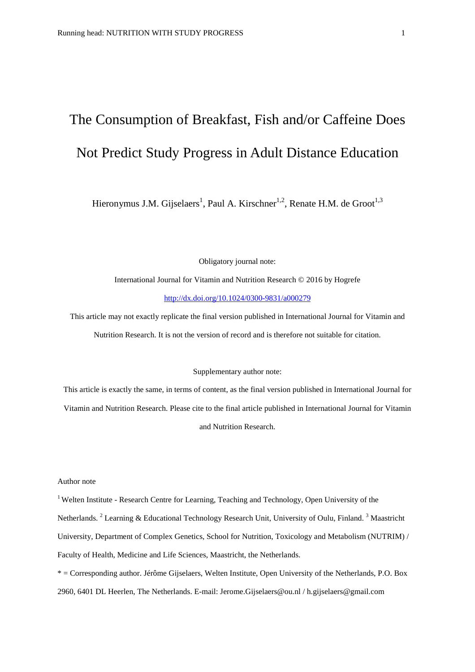# The Consumption of Breakfast, Fish and/or Caffeine Does Not Predict Study Progress in Adult Distance Education

Hieronymus J.M. Gijselaers<sup>1</sup>, Paul A. Kirschner<sup>1,2</sup>, Renate H.M. de Groot<sup>1,3</sup>

Obligatory journal note:

International Journal for Vitamin and Nutrition Research © 2016 by Hogrefe <http://dx.doi.org/10.1024/0300-9831/a000279>

This article may not exactly replicate the final version published in International Journal for Vitamin and Nutrition Research. It is not the version of record and is therefore not suitable for citation.

#### Supplementary author note:

This article is exactly the same, in terms of content, as the final version published in International Journal for Vitamin and Nutrition Research. Please cite to the final article published in International Journal for Vitamin and Nutrition Research.

#### Author note

<sup>1</sup> Welten Institute - Research Centre for Learning, Teaching and Technology, Open University of the Netherlands. <sup>2</sup> Learning & Educational Technology Research Unit, University of Oulu, Finland. <sup>3</sup> Maastricht University, Department of Complex Genetics, School for Nutrition, Toxicology and Metabolism (NUTRIM) / Faculty of Health, Medicine and Life Sciences, Maastricht, the Netherlands.

\* = Corresponding author. Jérôme Gijselaers, Welten Institute, Open University of the Netherlands, P.O. Box 2960, 6401 DL Heerlen, The Netherlands. E-mail: [Jerome.Gijselaers@ou.nl](mailto:Jerome.Gijselaers@ou.nl) / [h.gijselaers@gmail.com](mailto:h.gijselaers@gmail.com)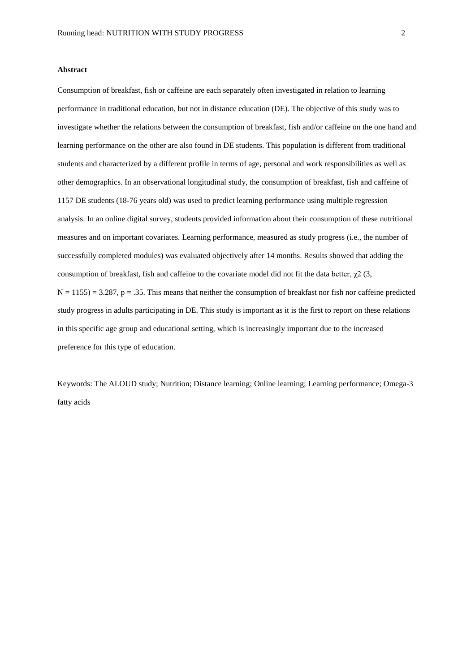#### **Abstract**

Consumption of breakfast, fish or caffeine are each separately often investigated in relation to learning performance in traditional education, but not in distance education (DE). The objective of this study was to investigate whether the relations between the consumption of breakfast, fish and/or caffeine on the one hand and learning performance on the other are also found in DE students. This population is different from traditional students and characterized by a different profile in terms of age, personal and work responsibilities as well as other demographics. In an observational longitudinal study, the consumption of breakfast, fish and caffeine of 1157 DE students (18-76 years old) was used to predict learning performance using multiple regression analysis. In an online digital survey, students provided information about their consumption of these nutritional measures and on important covariates. Learning performance, measured as study progress (i.e., the number of successfully completed modules) was evaluated objectively after 14 months. Results showed that adding the consumption of breakfast, fish and caffeine to the covariate model did not fit the data better,  $\chi$ 2 (3,  $N = 1155$ ) = 3.287, p = .35. This means that neither the consumption of breakfast nor fish nor caffeine predicted study progress in adults participating in DE. This study is important as it is the first to report on these relations in this specific age group and educational setting, which is increasingly important due to the increased preference for this type of education.

Keywords: The ALOUD study; Nutrition; Distance learning; Online learning; Learning performance; Omega-3 fatty acids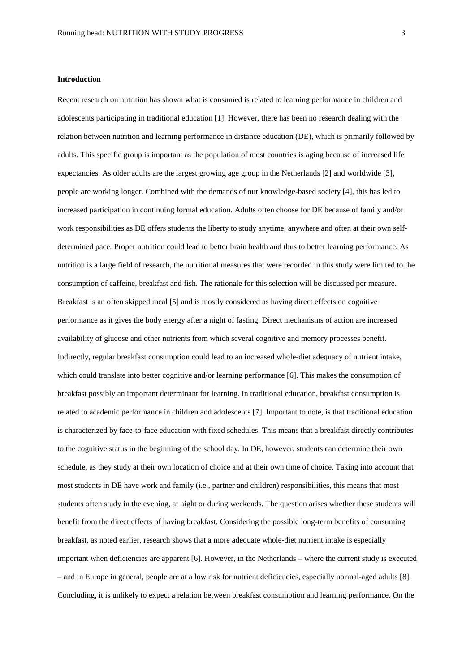#### **Introduction**

Recent research on nutrition has shown what is consumed is related to learning performance in children and adolescents participating in traditional education [1]. However, there has been no research dealing with the relation between nutrition and learning performance in distance education (DE), which is primarily followed by adults. This specific group is important as the population of most countries is aging because of increased life expectancies. As older adults are the largest growing age group in the Netherlands [2] and worldwide [3], people are working longer. Combined with the demands of our knowledge-based society [4], this has led to increased participation in continuing formal education. Adults often choose for DE because of family and/or work responsibilities as DE offers students the liberty to study anytime, anywhere and often at their own selfdetermined pace. Proper nutrition could lead to better brain health and thus to better learning performance. As nutrition is a large field of research, the nutritional measures that were recorded in this study were limited to the consumption of caffeine, breakfast and fish. The rationale for this selection will be discussed per measure. Breakfast is an often skipped meal [5] and is mostly considered as having direct effects on cognitive performance as it gives the body energy after a night of fasting. Direct mechanisms of action are increased availability of glucose and other nutrients from which several cognitive and memory processes benefit. Indirectly, regular breakfast consumption could lead to an increased whole-diet adequacy of nutrient intake, which could translate into better cognitive and/or learning performance [6]. This makes the consumption of breakfast possibly an important determinant for learning. In traditional education, breakfast consumption is related to academic performance in children and adolescents [7]. Important to note, is that traditional education is characterized by face-to-face education with fixed schedules. This means that a breakfast directly contributes to the cognitive status in the beginning of the school day. In DE, however, students can determine their own schedule, as they study at their own location of choice and at their own time of choice. Taking into account that most students in DE have work and family (i.e., partner and children) responsibilities, this means that most students often study in the evening, at night or during weekends. The question arises whether these students will benefit from the direct effects of having breakfast. Considering the possible long-term benefits of consuming breakfast, as noted earlier, research shows that a more adequate whole-diet nutrient intake is especially important when deficiencies are apparent [6]. However, in the Netherlands – where the current study is executed – and in Europe in general, people are at a low risk for nutrient deficiencies, especially normal-aged adults [8]. Concluding, it is unlikely to expect a relation between breakfast consumption and learning performance. On the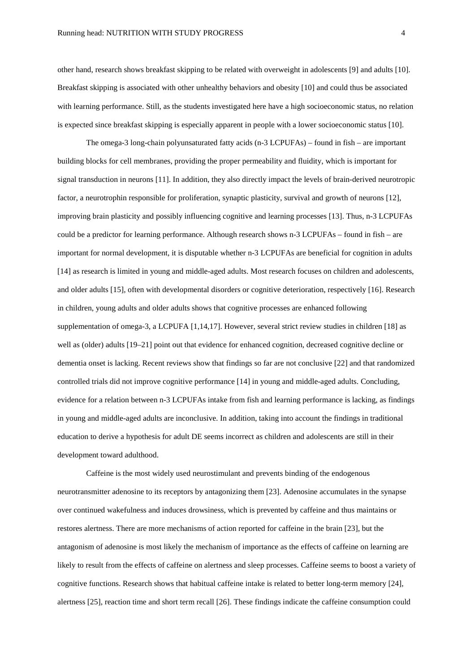other hand, research shows breakfast skipping to be related with overweight in adolescents [9] and adults [10]. Breakfast skipping is associated with other unhealthy behaviors and obesity [10] and could thus be associated with learning performance. Still, as the students investigated here have a high socioeconomic status, no relation is expected since breakfast skipping is especially apparent in people with a lower socioeconomic status [10].

The omega-3 long-chain polyunsaturated fatty acids (n-3 LCPUFAs) – found in fish – are important building blocks for cell membranes, providing the proper permeability and fluidity, which is important for signal transduction in neurons [11]. In addition, they also directly impact the levels of brain-derived neurotropic factor, a neurotrophin responsible for proliferation, synaptic plasticity, survival and growth of neurons [12], improving brain plasticity and possibly influencing cognitive and learning processes [13]. Thus, n-3 LCPUFAs could be a predictor for learning performance. Although research shows n-3 LCPUFAs – found in fish – are important for normal development, it is disputable whether n-3 LCPUFAs are beneficial for cognition in adults [14] as research is limited in young and middle-aged adults. Most research focuses on children and adolescents, and older adults [15], often with developmental disorders or cognitive deterioration, respectively [16]. Research in children, young adults and older adults shows that cognitive processes are enhanced following supplementation of omega-3, a LCPUFA [1,14,17]. However, several strict review studies in children [18] as well as (older) adults [19–21] point out that evidence for enhanced cognition, decreased cognitive decline or dementia onset is lacking. Recent reviews show that findings so far are not conclusive [22] and that randomized controlled trials did not improve cognitive performance [14] in young and middle-aged adults. Concluding, evidence for a relation between n-3 LCPUFAs intake from fish and learning performance is lacking, as findings in young and middle-aged adults are inconclusive. In addition, taking into account the findings in traditional education to derive a hypothesis for adult DE seems incorrect as children and adolescents are still in their development toward adulthood.

Caffeine is the most widely used neurostimulant and prevents binding of the endogenous neurotransmitter adenosine to its receptors by antagonizing them [23]. Adenosine accumulates in the synapse over continued wakefulness and induces drowsiness, which is prevented by caffeine and thus maintains or restores alertness. There are more mechanisms of action reported for caffeine in the brain [23], but the antagonism of adenosine is most likely the mechanism of importance as the effects of caffeine on learning are likely to result from the effects of caffeine on alertness and sleep processes. Caffeine seems to boost a variety of cognitive functions. Research shows that habitual caffeine intake is related to better long-term memory [24], alertness [25], reaction time and short term recall [26]. These findings indicate the caffeine consumption could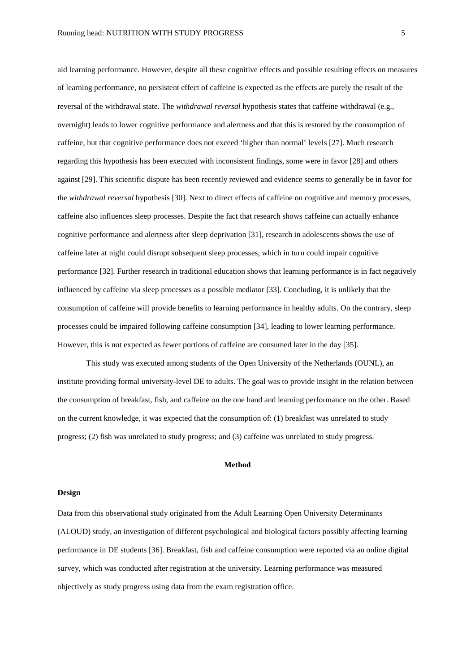aid learning performance. However, despite all these cognitive effects and possible resulting effects on measures of learning performance, no persistent effect of caffeine is expected as the effects are purely the result of the reversal of the withdrawal state. The *withdrawal reversal* hypothesis states that caffeine withdrawal (e.g., overnight) leads to lower cognitive performance and alertness and that this is restored by the consumption of caffeine, but that cognitive performance does not exceed 'higher than normal' levels [27]. Much research regarding this hypothesis has been executed with inconsistent findings, some were in favor [28] and others against [29]. This scientific dispute has been recently reviewed and evidence seems to generally be in favor for the *withdrawal reversal* hypothesis [30]. Next to direct effects of caffeine on cognitive and memory processes, caffeine also influences sleep processes. Despite the fact that research shows caffeine can actually enhance cognitive performance and alertness after sleep deprivation [31], research in adolescents shows the use of caffeine later at night could disrupt subsequent sleep processes, which in turn could impair cognitive performance [32]. Further research in traditional education shows that learning performance is in fact negatively influenced by caffeine via sleep processes as a possible mediator [33]. Concluding, it is unlikely that the consumption of caffeine will provide benefits to learning performance in healthy adults. On the contrary, sleep processes could be impaired following caffeine consumption [34], leading to lower learning performance. However, this is not expected as fewer portions of caffeine are consumed later in the day [35].

This study was executed among students of the Open University of the Netherlands (OUNL), an institute providing formal university-level DE to adults. The goal was to provide insight in the relation between the consumption of breakfast, fish, and caffeine on the one hand and learning performance on the other. Based on the current knowledge, it was expected that the consumption of: (1) breakfast was unrelated to study progress; (2) fish was unrelated to study progress; and (3) caffeine was unrelated to study progress.

#### **Method**

#### **Design**

Data from this observational study originated from the Adult Learning Open University Determinants (ALOUD) study, an investigation of different psychological and biological factors possibly affecting learning performance in DE students [36]. Breakfast, fish and caffeine consumption were reported via an online digital survey, which was conducted after registration at the university. Learning performance was measured objectively as study progress using data from the exam registration office.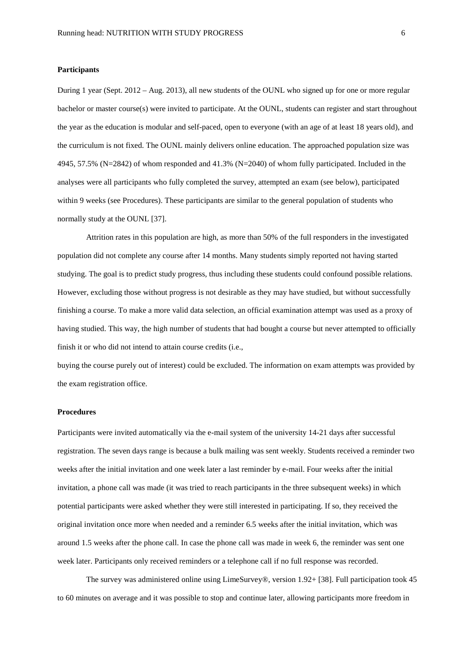#### **Participants**

During 1 year (Sept. 2012 – Aug. 2013), all new students of the OUNL who signed up for one or more regular bachelor or master course(s) were invited to participate. At the OUNL, students can register and start throughout the year as the education is modular and self-paced, open to everyone (with an age of at least 18 years old), and the curriculum is not fixed. The OUNL mainly delivers online education. The approached population size was 4945, 57.5% (N=2842) of whom responded and 41.3% (N=2040) of whom fully participated. Included in the analyses were all participants who fully completed the survey, attempted an exam (see below), participated within 9 weeks (see Procedures). These participants are similar to the general population of students who normally study at the OUNL [37].

Attrition rates in this population are high, as more than 50% of the full responders in the investigated population did not complete any course after 14 months. Many students simply reported not having started studying. The goal is to predict study progress, thus including these students could confound possible relations. However, excluding those without progress is not desirable as they may have studied, but without successfully finishing a course. To make a more valid data selection, an official examination attempt was used as a proxy of having studied. This way, the high number of students that had bought a course but never attempted to officially finish it or who did not intend to attain course credits (i.e.,

buying the course purely out of interest) could be excluded. The information on exam attempts was provided by the exam registration office.

#### **Procedures**

Participants were invited automatically via the e-mail system of the university 14-21 days after successful registration. The seven days range is because a bulk mailing was sent weekly. Students received a reminder two weeks after the initial invitation and one week later a last reminder by e-mail. Four weeks after the initial invitation, a phone call was made (it was tried to reach participants in the three subsequent weeks) in which potential participants were asked whether they were still interested in participating. If so, they received the original invitation once more when needed and a reminder 6.5 weeks after the initial invitation, which was around 1.5 weeks after the phone call. In case the phone call was made in week 6, the reminder was sent one week later. Participants only received reminders or a telephone call if no full response was recorded.

The survey was administered online using LimeSurvey®, version 1.92+ [38]. Full participation took 45 to 60 minutes on average and it was possible to stop and continue later, allowing participants more freedom in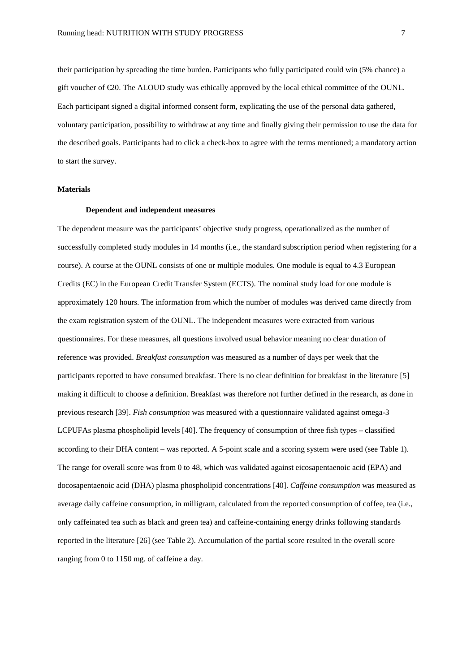their participation by spreading the time burden. Participants who fully participated could win (5% chance) a gift voucher of €20. The ALOUD study was ethically approved by the local ethical committee of the OUNL. Each participant signed a digital informed consent form, explicating the use of the personal data gathered, voluntary participation, possibility to withdraw at any time and finally giving their permission to use the data for the described goals. Participants had to click a check-box to agree with the terms mentioned; a mandatory action to start the survey.

#### **Materials**

#### **Dependent and independent measures**

The dependent measure was the participants' objective study progress, operationalized as the number of successfully completed study modules in 14 months (i.e., the standard subscription period when registering for a course). A course at the OUNL consists of one or multiple modules. One module is equal to 4.3 European Credits (EC) in the European Credit Transfer System (ECTS). The nominal study load for one module is approximately 120 hours. The information from which the number of modules was derived came directly from the exam registration system of the OUNL. The independent measures were extracted from various questionnaires. For these measures, all questions involved usual behavior meaning no clear duration of reference was provided. *Breakfast consumption* was measured as a number of days per week that the participants reported to have consumed breakfast. There is no clear definition for breakfast in the literature [5] making it difficult to choose a definition. Breakfast was therefore not further defined in the research, as done in previous research [39]. *Fish consumption* was measured with a questionnaire validated against omega-3 LCPUFAs plasma phospholipid levels [40]. The frequency of consumption of three fish types – classified according to their DHA content – was reported. A 5-point scale and a scoring system were used (see Table 1). The range for overall score was from 0 to 48, which was validated against eicosapentaenoic acid (EPA) and docosapentaenoic acid (DHA) plasma phospholipid concentrations [40]. *Caffeine consumption* was measured as average daily caffeine consumption, in milligram, calculated from the reported consumption of coffee, tea (i.e., only caffeinated tea such as black and green tea) and caffeine-containing energy drinks following standards reported in the literature [26] (see Table 2). Accumulation of the partial score resulted in the overall score ranging from 0 to 1150 mg. of caffeine a day.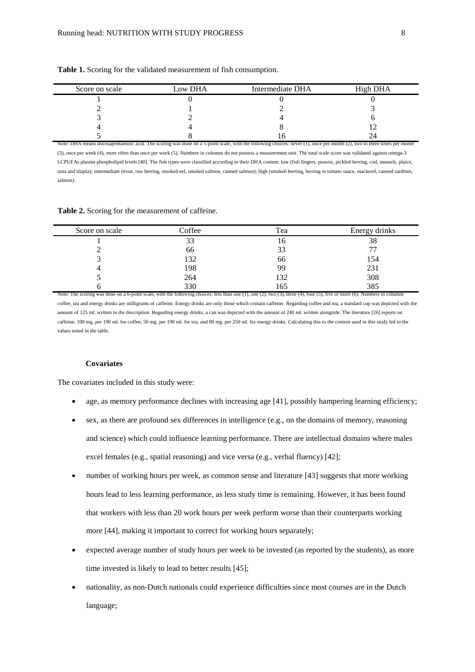| Score on scale | Low DHA | Intermediate DHA                                                                                                                                                        | High DHA |
|----------------|---------|-------------------------------------------------------------------------------------------------------------------------------------------------------------------------|----------|
|                |         |                                                                                                                                                                         |          |
|                |         |                                                                                                                                                                         |          |
|                |         |                                                                                                                                                                         |          |
|                |         |                                                                                                                                                                         |          |
|                |         |                                                                                                                                                                         |          |
|                |         | Note: DHA means docosapentaenoic acid. The scoring was done on a 5-point scale, with the following choices: never (1), once per month (2), two to three times per month |          |

**Table 1.** Scoring for the validated measurement of fish consumption.

(3), once per week (4), more often than once per week (5). Numbers in columns do not possess a measurement unit. The total scale score was validated against omega-3 LCPUFAs plasma phospholipid levels [40]. The fish types were classified according to their DHA content: low (fish fingers, prawns, pickled herring, cod, mussels, plaice, tuna and tilapia); intermediate (trout, raw herring, smoked eel, smoked salmon, canned salmon); high (smoked herring, herring in tomato sauce, mackerel, canned sardines, salmon).

#### **Table 2.** Scoring for the measurement of caffeine.

| Score on scale                                                                                                                                                                              | Coffee | Tea | Energy drinks |
|---------------------------------------------------------------------------------------------------------------------------------------------------------------------------------------------|--------|-----|---------------|
|                                                                                                                                                                                             | 33     | 16  | 38            |
|                                                                                                                                                                                             | 66     | 33  |               |
|                                                                                                                                                                                             | 132    | 66  | 154           |
|                                                                                                                                                                                             | 198    | 99  | 231           |
|                                                                                                                                                                                             | 264    | 132 | 308           |
|                                                                                                                                                                                             | 330    | 165 | 385           |
| Note: The scoring was done on a 6-point scale, with the following choices: less than one $(1)$ , one $(2)$ , two $(3)$ , three $(4)$ , four $(5)$ , five or more $(6)$ . Numbers in columns |        |     |               |

coffee, tea and energy drinks are milligrams of caffeine. Energy drinks are only those which contain caffeine. Regarding coffee and tea, a standard cup was depicted with the amount of 125 ml. written in the description. Regarding energy drinks, a can was depicted with the amount of 240 ml. written alongside. The literature [26] reports on caffeine: 100 mg. per 190 ml. for coffee; 50 mg. per 190 ml. for tea; and 80 mg. per 250 ml. for energy drinks. Calculating this to the content used in this study led to the values noted in the table.

# **Covariates**

The covariates included in this study were:

- age, as memory performance declines with increasing age [41], possibly hampering learning efficiency;
- sex, as there are profound sex differences in intelligence (e.g., on the domains of memory, reasoning and science) which could influence learning performance. There are intellectual domains where males excel females (e.g., spatial reasoning) and vice versa (e.g., verbal fluency) [42];
- number of working hours per week, as common sense and literature [43] suggests that more working hours lead to less learning performance, as less study time is remaining. However, it has been found that workers with less than 20 work hours per week perform worse than their counterparts working more [44], making it important to correct for working hours separately;
- expected average number of study hours per week to be invested (as reported by the students), as more time invested is likely to lead to better results [45];
- nationality, as non-Dutch nationals could experience difficulties since most courses are in the Dutch language;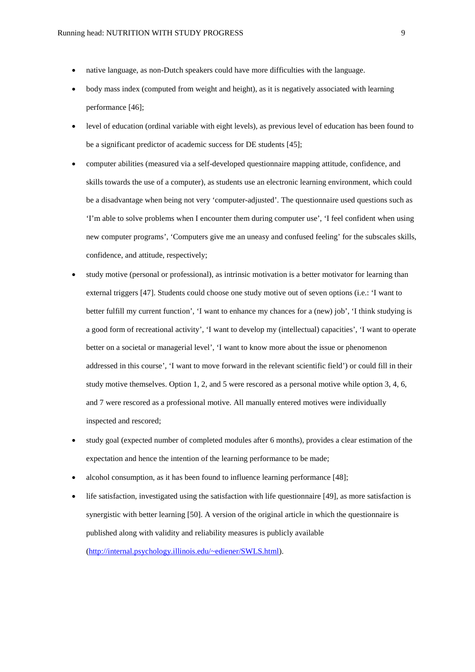- native language, as non-Dutch speakers could have more difficulties with the language.
- body mass index (computed from weight and height), as it is negatively associated with learning performance [46];
- level of education (ordinal variable with eight levels), as previous level of education has been found to be a significant predictor of academic success for DE students [45];
- computer abilities (measured via a self-developed questionnaire mapping attitude, confidence, and skills towards the use of a computer), as students use an electronic learning environment, which could be a disadvantage when being not very 'computer-adjusted'. The questionnaire used questions such as 'I'm able to solve problems when I encounter them during computer use', 'I feel confident when using new computer programs', 'Computers give me an uneasy and confused feeling' for the subscales skills, confidence, and attitude, respectively;
- study motive (personal or professional), as intrinsic motivation is a better motivator for learning than external triggers [47]. Students could choose one study motive out of seven options (i.e.: 'I want to better fulfill my current function', 'I want to enhance my chances for a (new) job', 'I think studying is a good form of recreational activity', 'I want to develop my (intellectual) capacities', 'I want to operate better on a societal or managerial level', 'I want to know more about the issue or phenomenon addressed in this course', 'I want to move forward in the relevant scientific field') or could fill in their study motive themselves. Option 1, 2, and 5 were rescored as a personal motive while option 3, 4, 6, and 7 were rescored as a professional motive. All manually entered motives were individually inspected and rescored;
- study goal (expected number of completed modules after 6 months), provides a clear estimation of the expectation and hence the intention of the learning performance to be made;
- alcohol consumption, as it has been found to influence learning performance [48];
- life satisfaction, investigated using the satisfaction with life questionnaire [49], as more satisfaction is synergistic with better learning [50]. A version of the original article in which the questionnaire is published along with validity and reliability measures is publicly available [\(http://internal.psychology.illinois.edu/~ediener/SWLS.html\)](http://internal.psychology.illinois.edu/%7Eediener/SWLS.html).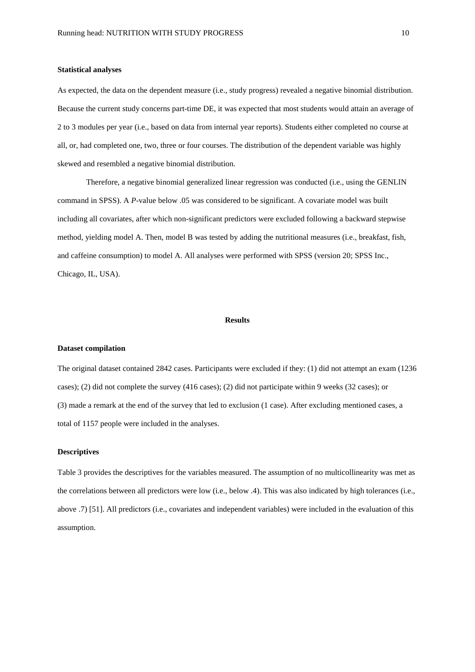#### **Statistical analyses**

As expected, the data on the dependent measure (i.e., study progress) revealed a negative binomial distribution. Because the current study concerns part-time DE, it was expected that most students would attain an average of 2 to 3 modules per year (i.e., based on data from internal year reports). Students either completed no course at all, or, had completed one, two, three or four courses. The distribution of the dependent variable was highly skewed and resembled a negative binomial distribution.

Therefore, a negative binomial generalized linear regression was conducted (i.e., using the GENLIN command in SPSS). A *P*-value below .05 was considered to be significant. A covariate model was built including all covariates, after which non-significant predictors were excluded following a backward stepwise method, yielding model A. Then, model B was tested by adding the nutritional measures (i.e., breakfast, fish, and caffeine consumption) to model A. All analyses were performed with SPSS (version 20; SPSS Inc., Chicago, IL, USA).

## **Results**

# **Dataset compilation**

The original dataset contained 2842 cases. Participants were excluded if they: (1) did not attempt an exam (1236 cases); (2) did not complete the survey (416 cases); (2) did not participate within 9 weeks (32 cases); or (3) made a remark at the end of the survey that led to exclusion (1 case). After excluding mentioned cases, a total of 1157 people were included in the analyses.

#### **Descriptives**

Table 3 provides the descriptives for the variables measured. The assumption of no multicollinearity was met as the correlations between all predictors were low (i.e., below .4). This was also indicated by high tolerances (i.e., above .7) [51]. All predictors (i.e., covariates and independent variables) were included in the evaluation of this assumption.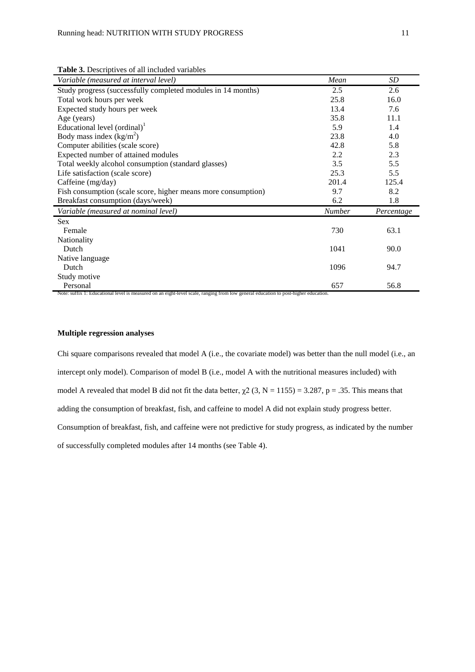**Table 3.** Descriptives of all included variables

| Variable (measured at interval level)                                                                                               | Mean          | SD         |
|-------------------------------------------------------------------------------------------------------------------------------------|---------------|------------|
| Study progress (successfully completed modules in 14 months)                                                                        | 2.5           | 2.6        |
| Total work hours per week                                                                                                           | 25.8          | 16.0       |
| Expected study hours per week                                                                                                       | 13.4          | 7.6        |
| Age (years)                                                                                                                         | 35.8          | 11.1       |
| Educational level $($ ordinal $)$ <sup>1</sup>                                                                                      | 5.9           | 1.4        |
| Body mass index $(kg/m^2)$                                                                                                          | 23.8          | 4.0        |
| Computer abilities (scale score)                                                                                                    | 42.8          | 5.8        |
| Expected number of attained modules                                                                                                 | 2.2           | 2.3        |
| Total weekly alcohol consumption (standard glasses)                                                                                 | 3.5           | 5.5        |
| Life satisfaction (scale score)                                                                                                     | 25.3          | 5.5        |
| Caffeine (mg/day)                                                                                                                   | 201.4         | 125.4      |
| Fish consumption (scale score, higher means more consumption)                                                                       | 9.7           | 8.2        |
| Breakfast consumption (days/week)                                                                                                   | 6.2           | 1.8        |
| Variable (measured at nominal level)                                                                                                | <b>Number</b> | Percentage |
| <b>Sex</b>                                                                                                                          |               |            |
| Female                                                                                                                              | 730           | 63.1       |
| Nationality                                                                                                                         |               |            |
| Dutch                                                                                                                               | 1041          | 90.0       |
| Native language                                                                                                                     |               |            |
| Dutch                                                                                                                               | 1096          | 94.7       |
| Study motive                                                                                                                        |               |            |
| Personal                                                                                                                            | 657           | 56.8       |
| Note: suffix 1: Educational level is measured on an eight-level scale, ranging from low general education to post-higher education. |               |            |

# **Multiple regression analyses**

Chi square comparisons revealed that model A (i.e., the covariate model) was better than the null model (i.e., an intercept only model). Comparison of model B (i.e., model A with the nutritional measures included) with model A revealed that model B did not fit the data better,  $\chi^2$  (3, N = 1155) = 3.287, p = .35. This means that adding the consumption of breakfast, fish, and caffeine to model A did not explain study progress better. Consumption of breakfast, fish, and caffeine were not predictive for study progress, as indicated by the number of successfully completed modules after 14 months (see Table 4).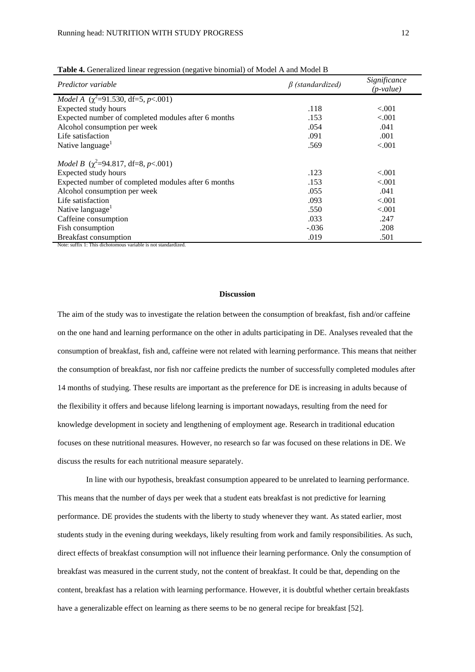| Predictor variable                                       | $\beta$ (standardized) | Significance<br>$(p-value)$ |
|----------------------------------------------------------|------------------------|-----------------------------|
| <i>Model A</i> $(\chi^2 = 91.530, df = 5, p < .001)$     |                        |                             |
| Expected study hours                                     | .118                   | ${<}001$                    |
| Expected number of completed modules after 6 months      | .153                   | ${<}001$                    |
| Alcohol consumption per week                             | .054                   | .041                        |
| Life satisfaction                                        | .091                   | .001                        |
| Native language <sup>1</sup>                             | .569                   | ${<}001$                    |
| <i>Model B</i> ( $\chi^2$ =94.817, df=8, <i>p</i> <.001) |                        |                             |
| Expected study hours                                     | .123                   | ${<}001$                    |
| Expected number of completed modules after 6 months      | .153                   | < 0.001                     |
| Alcohol consumption per week                             | .055                   | .041                        |
| Life satisfaction                                        | .093                   | < 0.001                     |
| Native language <sup>1</sup>                             | .550                   | ${<}001$                    |
| Caffeine consumption                                     | .033                   | .247                        |
| Fish consumption                                         | $-.036$                | .208                        |
| <b>Breakfast consumption</b>                             | .019                   | .501                        |

**Table 4.** Generalized linear regression (negative binomial) of Model A and Model B

#### **Discussion**

The aim of the study was to investigate the relation between the consumption of breakfast, fish and/or caffeine on the one hand and learning performance on the other in adults participating in DE. Analyses revealed that the consumption of breakfast, fish and, caffeine were not related with learning performance. This means that neither the consumption of breakfast, nor fish nor caffeine predicts the number of successfully completed modules after 14 months of studying. These results are important as the preference for DE is increasing in adults because of the flexibility it offers and because lifelong learning is important nowadays, resulting from the need for knowledge development in society and lengthening of employment age. Research in traditional education focuses on these nutritional measures. However, no research so far was focused on these relations in DE. We discuss the results for each nutritional measure separately.

In line with our hypothesis, breakfast consumption appeared to be unrelated to learning performance. This means that the number of days per week that a student eats breakfast is not predictive for learning performance. DE provides the students with the liberty to study whenever they want. As stated earlier, most students study in the evening during weekdays, likely resulting from work and family responsibilities. As such, direct effects of breakfast consumption will not influence their learning performance. Only the consumption of breakfast was measured in the current study, not the content of breakfast. It could be that, depending on the content, breakfast has a relation with learning performance. However, it is doubtful whether certain breakfasts have a generalizable effect on learning as there seems to be no general recipe for breakfast [52].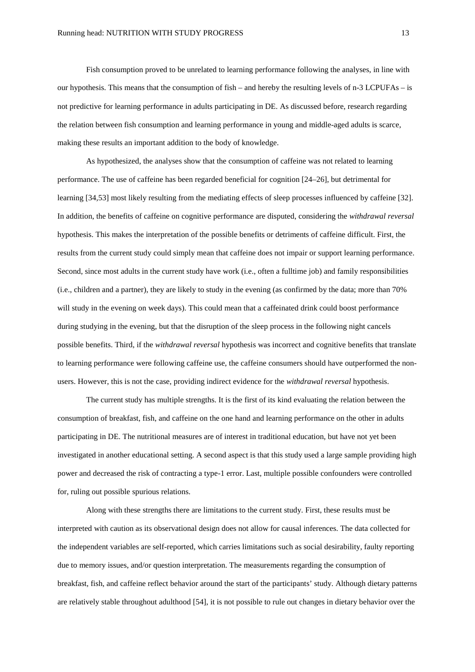Fish consumption proved to be unrelated to learning performance following the analyses, in line with our hypothesis. This means that the consumption of fish – and hereby the resulting levels of n-3 LCPUFAs – is not predictive for learning performance in adults participating in DE. As discussed before, research regarding the relation between fish consumption and learning performance in young and middle-aged adults is scarce, making these results an important addition to the body of knowledge.

As hypothesized, the analyses show that the consumption of caffeine was not related to learning performance. The use of caffeine has been regarded beneficial for cognition [24–26], but detrimental for learning [34,53] most likely resulting from the mediating effects of sleep processes influenced by caffeine [32]. In addition, the benefits of caffeine on cognitive performance are disputed, considering the *withdrawal reversal* hypothesis. This makes the interpretation of the possible benefits or detriments of caffeine difficult. First, the results from the current study could simply mean that caffeine does not impair or support learning performance. Second, since most adults in the current study have work (i.e., often a fulltime job) and family responsibilities (i.e., children and a partner), they are likely to study in the evening (as confirmed by the data; more than 70% will study in the evening on week days). This could mean that a caffeinated drink could boost performance during studying in the evening, but that the disruption of the sleep process in the following night cancels possible benefits. Third, if the *withdrawal reversal* hypothesis was incorrect and cognitive benefits that translate to learning performance were following caffeine use, the caffeine consumers should have outperformed the nonusers. However, this is not the case, providing indirect evidence for the *withdrawal reversal* hypothesis.

The current study has multiple strengths. It is the first of its kind evaluating the relation between the consumption of breakfast, fish, and caffeine on the one hand and learning performance on the other in adults participating in DE. The nutritional measures are of interest in traditional education, but have not yet been investigated in another educational setting. A second aspect is that this study used a large sample providing high power and decreased the risk of contracting a type-1 error. Last, multiple possible confounders were controlled for, ruling out possible spurious relations.

Along with these strengths there are limitations to the current study. First, these results must be interpreted with caution as its observational design does not allow for causal inferences. The data collected for the independent variables are self-reported, which carries limitations such as social desirability, faulty reporting due to memory issues, and/or question interpretation. The measurements regarding the consumption of breakfast, fish, and caffeine reflect behavior around the start of the participants' study. Although dietary patterns are relatively stable throughout adulthood [54], it is not possible to rule out changes in dietary behavior over the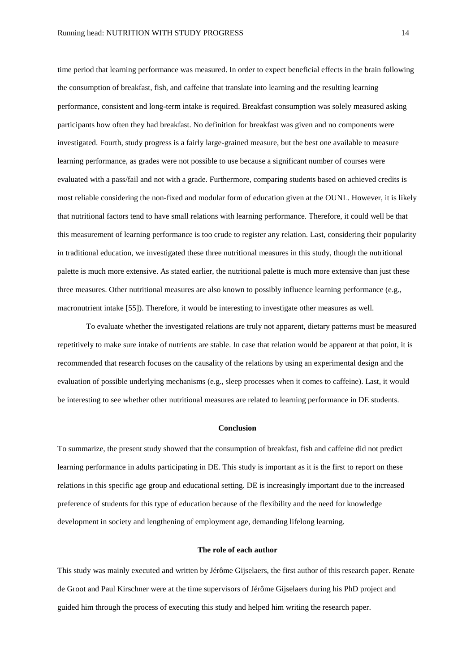time period that learning performance was measured. In order to expect beneficial effects in the brain following the consumption of breakfast, fish, and caffeine that translate into learning and the resulting learning performance, consistent and long-term intake is required. Breakfast consumption was solely measured asking participants how often they had breakfast. No definition for breakfast was given and no components were investigated. Fourth, study progress is a fairly large-grained measure, but the best one available to measure learning performance, as grades were not possible to use because a significant number of courses were evaluated with a pass/fail and not with a grade. Furthermore, comparing students based on achieved credits is most reliable considering the non-fixed and modular form of education given at the OUNL. However, it is likely that nutritional factors tend to have small relations with learning performance. Therefore, it could well be that this measurement of learning performance is too crude to register any relation. Last, considering their popularity in traditional education, we investigated these three nutritional measures in this study, though the nutritional palette is much more extensive. As stated earlier, the nutritional palette is much more extensive than just these three measures. Other nutritional measures are also known to possibly influence learning performance (e.g., macronutrient intake [55]). Therefore, it would be interesting to investigate other measures as well.

To evaluate whether the investigated relations are truly not apparent, dietary patterns must be measured repetitively to make sure intake of nutrients are stable. In case that relation would be apparent at that point, it is recommended that research focuses on the causality of the relations by using an experimental design and the evaluation of possible underlying mechanisms (e.g., sleep processes when it comes to caffeine). Last, it would be interesting to see whether other nutritional measures are related to learning performance in DE students.

#### **Conclusion**

To summarize, the present study showed that the consumption of breakfast, fish and caffeine did not predict learning performance in adults participating in DE. This study is important as it is the first to report on these relations in this specific age group and educational setting. DE is increasingly important due to the increased preference of students for this type of education because of the flexibility and the need for knowledge development in society and lengthening of employment age, demanding lifelong learning.

#### **The role of each author**

This study was mainly executed and written by Jérôme Gijselaers, the first author of this research paper. Renate de Groot and Paul Kirschner were at the time supervisors of Jérôme Gijselaers during his PhD project and guided him through the process of executing this study and helped him writing the research paper.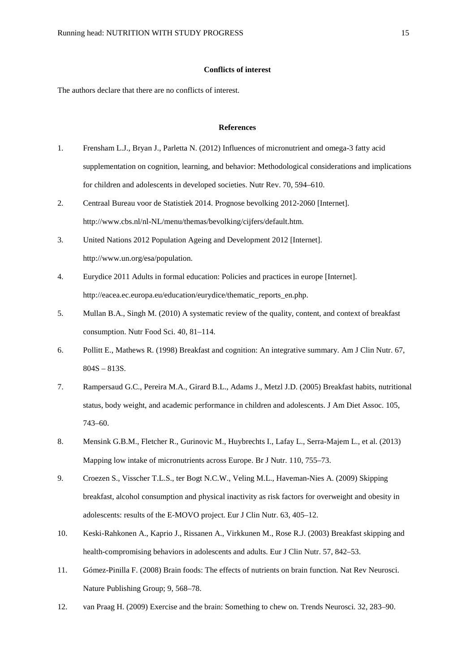# **Conflicts of interest**

The authors declare that there are no conflicts of interest.

#### **References**

- 1. Frensham L.J., Bryan J., Parletta N. (2012) Influences of micronutrient and omega-3 fatty acid supplementation on cognition, learning, and behavior: Methodological considerations and implications for children and adolescents in developed societies. Nutr Rev. 70, 594–610.
- 2. Centraal Bureau voor de Statistiek 2014. Prognose bevolking 2012-2060 [Internet]. http://www.cbs.nl/nl-NL/menu/themas/bevolking/cijfers/default.htm.
- 3. United Nations 2012 Population Ageing and Development 2012 [Internet]. http://www.un.org/esa/population.
- 4. Eurydice 2011 Adults in formal education: Policies and practices in europe [Internet]. http://eacea.ec.europa.eu/education/eurydice/thematic\_reports\_en.php.
- 5. Mullan B.A., Singh M. (2010) A systematic review of the quality, content, and context of breakfast consumption. Nutr Food Sci. 40, 81–114.
- 6. Pollitt E., Mathews R. (1998) Breakfast and cognition: An integrative summary. Am J Clin Nutr. 67, 804S – 813S.
- 7. Rampersaud G.C., Pereira M.A., Girard B.L., Adams J., Metzl J.D. (2005) Breakfast habits, nutritional status, body weight, and academic performance in children and adolescents. J Am Diet Assoc. 105, 743–60.
- 8. Mensink G.B.M., Fletcher R., Gurinovic M., Huybrechts I., Lafay L., Serra-Majem L., et al. (2013) Mapping low intake of micronutrients across Europe. Br J Nutr. 110, 755–73.
- 9. Croezen S., Visscher T.L.S., ter Bogt N.C.W., Veling M.L., Haveman-Nies A. (2009) Skipping breakfast, alcohol consumption and physical inactivity as risk factors for overweight and obesity in adolescents: results of the E-MOVO project. Eur J Clin Nutr. 63, 405–12.
- 10. Keski-Rahkonen A., Kaprio J., Rissanen A., Virkkunen M., Rose R.J. (2003) Breakfast skipping and health-compromising behaviors in adolescents and adults. Eur J Clin Nutr. 57, 842–53.
- 11. Gómez-Pinilla F. (2008) Brain foods: The effects of nutrients on brain function. Nat Rev Neurosci. Nature Publishing Group; 9, 568–78.
- 12. van Praag H. (2009) Exercise and the brain: Something to chew on. Trends Neurosci. 32, 283–90.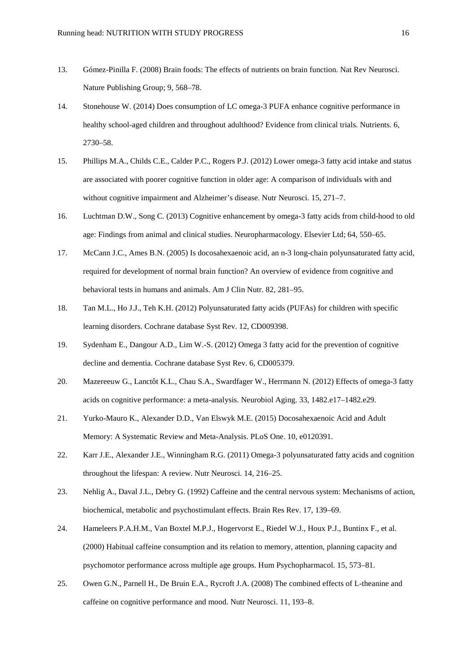- 13. Gómez-Pinilla F. (2008) Brain foods: The effects of nutrients on brain function. Nat Rev Neurosci. Nature Publishing Group; 9, 568–78.
- 14. Stonehouse W. (2014) Does consumption of LC omega-3 PUFA enhance cognitive performance in healthy school-aged children and throughout adulthood? Evidence from clinical trials. Nutrients. 6, 2730–58.
- 15. Phillips M.A., Childs C.E., Calder P.C., Rogers P.J. (2012) Lower omega-3 fatty acid intake and status are associated with poorer cognitive function in older age: A comparison of individuals with and without cognitive impairment and Alzheimer's disease. Nutr Neurosci. 15, 271–7.
- 16. Luchtman D.W., Song C. (2013) Cognitive enhancement by omega-3 fatty acids from child-hood to old age: Findings from animal and clinical studies. Neuropharmacology. Elsevier Ltd; 64, 550–65.
- 17. McCann J.C., Ames B.N. (2005) Is docosahexaenoic acid, an n-3 long-chain polyunsaturated fatty acid, required for development of normal brain function? An overview of evidence from cognitive and behavioral tests in humans and animals. Am J Clin Nutr. 82, 281–95.
- 18. Tan M.L., Ho J.J., Teh K.H. (2012) Polyunsaturated fatty acids (PUFAs) for children with specific learning disorders. Cochrane database Syst Rev. 12, CD009398.
- 19. Sydenham E., Dangour A.D., Lim W.-S. (2012) Omega 3 fatty acid for the prevention of cognitive decline and dementia. Cochrane database Syst Rev. 6, CD005379.
- 20. Mazereeuw G., Lanctôt K.L., Chau S.A., Swardfager W., Herrmann N. (2012) Effects of omega-3 fatty acids on cognitive performance: a meta-analysis. Neurobiol Aging. 33, 1482.e17–1482.e29.
- 21. Yurko-Mauro K., Alexander D.D., Van Elswyk M.E. (2015) Docosahexaenoic Acid and Adult Memory: A Systematic Review and Meta-Analysis. PLoS One. 10, e0120391.
- 22. Karr J.E., Alexander J.E., Winningham R.G. (2011) Omega-3 polyunsaturated fatty acids and cognition throughout the lifespan: A review. Nutr Neurosci. 14, 216–25.
- 23. Nehlig A., Daval J.L., Debry G. (1992) Caffeine and the central nervous system: Mechanisms of action, biochemical, metabolic and psychostimulant effects. Brain Res Rev. 17, 139–69.
- 24. Hameleers P.A.H.M., Van Boxtel M.P.J., Hogervorst E., Riedel W.J., Houx P.J., Buntinx F., et al. (2000) Habitual caffeine consumption and its relation to memory, attention, planning capacity and psychomotor performance across multiple age groups. Hum Psychopharmacol. 15, 573–81.
- 25. Owen G.N., Parnell H., De Bruin E.A., Rycroft J.A. (2008) The combined effects of L-theanine and caffeine on cognitive performance and mood. Nutr Neurosci. 11, 193–8.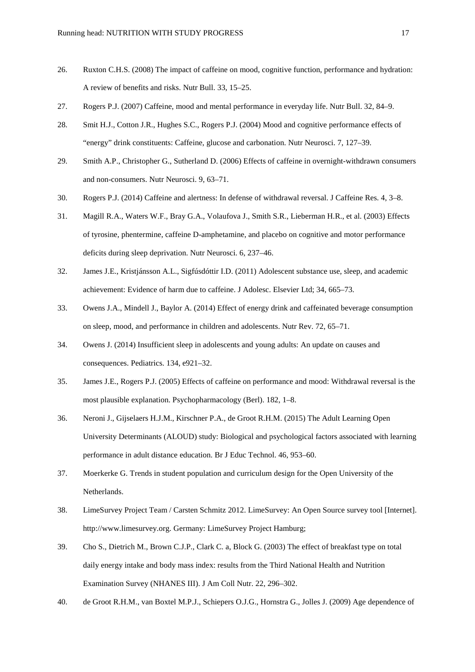- 26. Ruxton C.H.S. (2008) The impact of caffeine on mood, cognitive function, performance and hydration: A review of benefits and risks. Nutr Bull. 33, 15–25.
- 27. Rogers P.J. (2007) Caffeine, mood and mental performance in everyday life. Nutr Bull. 32, 84–9.
- 28. Smit H.J., Cotton J.R., Hughes S.C., Rogers P.J. (2004) Mood and cognitive performance effects of "energy" drink constituents: Caffeine, glucose and carbonation. Nutr Neurosci. 7, 127–39.
- 29. Smith A.P., Christopher G., Sutherland D. (2006) Effects of caffeine in overnight-withdrawn consumers and non-consumers. Nutr Neurosci. 9, 63–71.
- 30. Rogers P.J. (2014) Caffeine and alertness: In defense of withdrawal reversal. J Caffeine Res. 4, 3–8.
- 31. Magill R.A., Waters W.F., Bray G.A., Volaufova J., Smith S.R., Lieberman H.R., et al. (2003) Effects of tyrosine, phentermine, caffeine D-amphetamine, and placebo on cognitive and motor performance deficits during sleep deprivation. Nutr Neurosci. 6, 237–46.
- 32. James J.E., Kristjánsson A.L., Sigfúsdóttir I.D. (2011) Adolescent substance use, sleep, and academic achievement: Evidence of harm due to caffeine. J Adolesc. Elsevier Ltd; 34, 665–73.
- 33. Owens J.A., Mindell J., Baylor A. (2014) Effect of energy drink and caffeinated beverage consumption on sleep, mood, and performance in children and adolescents. Nutr Rev. 72, 65–71.
- 34. Owens J. (2014) Insufficient sleep in adolescents and young adults: An update on causes and consequences. Pediatrics. 134, e921–32.
- 35. James J.E., Rogers P.J. (2005) Effects of caffeine on performance and mood: Withdrawal reversal is the most plausible explanation. Psychopharmacology (Berl). 182, 1–8.
- 36. Neroni J., Gijselaers H.J.M., Kirschner P.A., de Groot R.H.M. (2015) The Adult Learning Open University Determinants (ALOUD) study: Biological and psychological factors associated with learning performance in adult distance education. Br J Educ Technol. 46, 953–60.
- 37. Moerkerke G. Trends in student population and curriculum design for the Open University of the Netherlands.
- 38. LimeSurvey Project Team / Carsten Schmitz 2012. LimeSurvey: An Open Source survey tool [Internet]. http://www.limesurvey.org. Germany: LimeSurvey Project Hamburg;
- 39. Cho S., Dietrich M., Brown C.J.P., Clark C. a, Block G. (2003) The effect of breakfast type on total daily energy intake and body mass index: results from the Third National Health and Nutrition Examination Survey (NHANES III). J Am Coll Nutr. 22, 296–302.
- 40. de Groot R.H.M., van Boxtel M.P.J., Schiepers O.J.G., Hornstra G., Jolles J. (2009) Age dependence of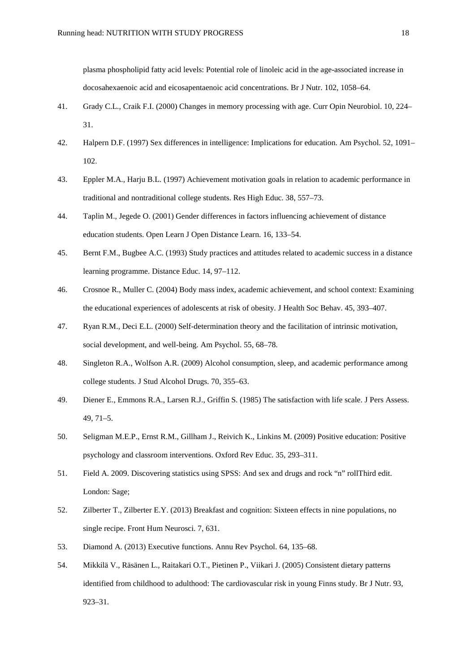plasma phospholipid fatty acid levels: Potential role of linoleic acid in the age-associated increase in docosahexaenoic acid and eicosapentaenoic acid concentrations. Br J Nutr. 102, 1058–64.

- 41. Grady C.L., Craik F.I. (2000) Changes in memory processing with age. Curr Opin Neurobiol. 10, 224– 31.
- 42. Halpern D.F. (1997) Sex differences in intelligence: Implications for education. Am Psychol. 52, 1091– 102.
- 43. Eppler M.A., Harju B.L. (1997) Achievement motivation goals in relation to academic performance in traditional and nontraditional college students. Res High Educ. 38, 557–73.
- 44. Taplin M., Jegede O. (2001) Gender differences in factors influencing achievement of distance education students. Open Learn J Open Distance Learn. 16, 133–54.
- 45. Bernt F.M., Bugbee A.C. (1993) Study practices and attitudes related to academic success in a distance learning programme. Distance Educ. 14, 97–112.
- 46. Crosnoe R., Muller C. (2004) Body mass index, academic achievement, and school context: Examining the educational experiences of adolescents at risk of obesity. J Health Soc Behav. 45, 393–407.
- 47. Ryan R.M., Deci E.L. (2000) Self-determination theory and the facilitation of intrinsic motivation, social development, and well-being. Am Psychol. 55, 68–78.
- 48. Singleton R.A., Wolfson A.R. (2009) Alcohol consumption, sleep, and academic performance among college students. J Stud Alcohol Drugs. 70, 355–63.
- 49. Diener E., Emmons R.A., Larsen R.J., Griffin S. (1985) The satisfaction with life scale. J Pers Assess. 49, 71–5.
- 50. Seligman M.E.P., Ernst R.M., Gillham J., Reivich K., Linkins M. (2009) Positive education: Positive psychology and classroom interventions. Oxford Rev Educ. 35, 293–311.
- 51. Field A. 2009. Discovering statistics using SPSS: And sex and drugs and rock "n" rollThird edit. London: Sage;
- 52. Zilberter T., Zilberter E.Y. (2013) Breakfast and cognition: Sixteen effects in nine populations, no single recipe. Front Hum Neurosci. 7, 631.
- 53. Diamond A. (2013) Executive functions. Annu Rev Psychol. 64, 135–68.
- 54. Mikkilä V., Räsänen L., Raitakari O.T., Pietinen P., Viikari J. (2005) Consistent dietary patterns identified from childhood to adulthood: The cardiovascular risk in young Finns study. Br J Nutr. 93, 923–31.